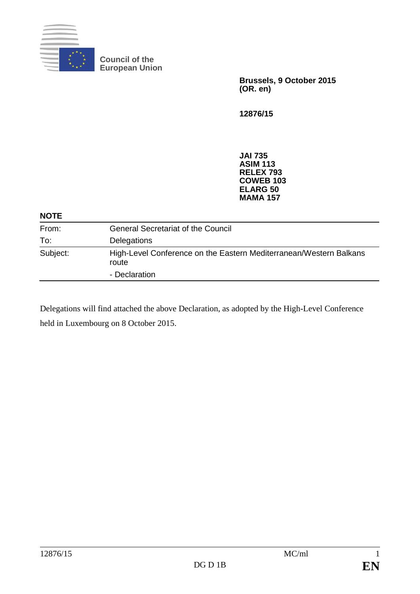

**Council of the European Union**

> **Brussels, 9 October 2015 (OR. en)**

**12876/15**

**JAI 735 ASIM 113 RELEX 793 COWEB 103 ELARG 50 MAMA 157**

| <b>NOTE</b> |                                                                             |
|-------------|-----------------------------------------------------------------------------|
| From:       | <b>General Secretariat of the Council</b>                                   |
| To:         | Delegations                                                                 |
| Subject:    | High-Level Conference on the Eastern Mediterranean/Western Balkans<br>route |
|             | - Declaration                                                               |

Delegations will find attached the above Declaration, as adopted by the High-Level Conference held in Luxembourg on 8 October 2015.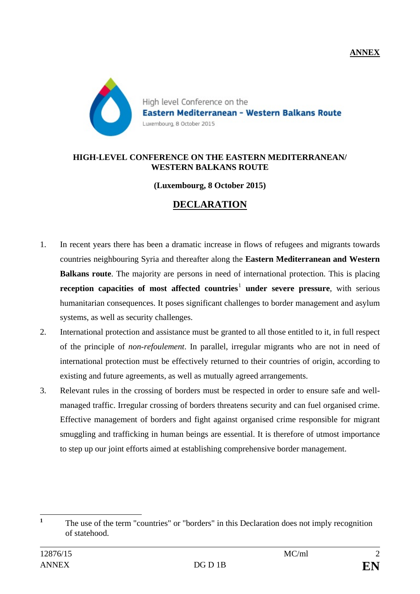**ANNEX**



#### **HIGH-LEVEL CONFERENCE ON THE EASTERN MEDITERRANEAN/ WESTERN BALKANS ROUTE**

#### **(Luxembourg, 8 October 2015)**

# **DECLARATION**

- 1. In recent years there has been a dramatic increase in flows of refugees and migrants towards countries neighbouring Syria and thereafter along the **Eastern Mediterranean and Western Balkans route**. The majority are persons in need of international protection. This is placing **reception capacities of most affected countries<sup>[1](#page-1-0)</sup> under severe pressure, with serious** humanitarian consequences. It poses significant challenges to border management and asylum systems, as well as security challenges.
- 2. International protection and assistance must be granted to all those entitled to it, in full respect of the principle of *non-refoulement*. In parallel, irregular migrants who are not in need of international protection must be effectively returned to their countries of origin, according to existing and future agreements, as well as mutually agreed arrangements.
- 3. Relevant rules in the crossing of borders must be respected in order to ensure safe and wellmanaged traffic. Irregular crossing of borders threatens security and can fuel organised crime. Effective management of borders and fight against organised crime responsible for migrant smuggling and trafficking in human beings are essential. It is therefore of utmost importance to step up our joint efforts aimed at establishing comprehensive border management.

<span id="page-1-0"></span><sup>&</sup>lt;sup>1</sup> The use of the term "countries" or "borders" in this Declaration does not imply recognition of statehood.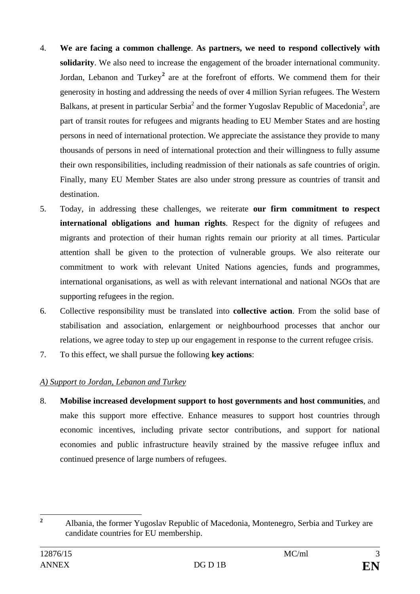- 4. **We are facing a common challenge**. **As partners, we need to respond collectively with solidarity**. We also need to increase the engagement of the broader international community. Jordan, Lebanon and Turkey**[2](#page-2-0)** are at the forefront of efforts. We commend them for their generosity in hosting and addressing the needs of over 4 million Syrian refugees. The Western Balkans, at present in particular Serbia<sup>2</sup> and the former Yugoslav Republic of Macedonia<sup>2</sup>, are part of transit routes for refugees and migrants heading to EU Member States and are hosting persons in need of international protection. We appreciate the assistance they provide to many thousands of persons in need of international protection and their willingness to fully assume their own responsibilities, including readmission of their nationals as safe countries of origin. Finally, many EU Member States are also under strong pressure as countries of transit and destination.
- 5. Today, in addressing these challenges, we reiterate **our firm commitment to respect international obligations and human rights**. Respect for the dignity of refugees and migrants and protection of their human rights remain our priority at all times. Particular attention shall be given to the protection of vulnerable groups. We also reiterate our commitment to work with relevant United Nations agencies, funds and programmes, international organisations, as well as with relevant international and national NGOs that are supporting refugees in the region.
- 6. Collective responsibility must be translated into **collective action**. From the solid base of stabilisation and association, enlargement or neighbourhood processes that anchor our relations, we agree today to step up our engagement in response to the current refugee crisis.
- 7. To this effect, we shall pursue the following **key actions**:

## *A) Support to Jordan, Lebanon and Turkey*

8. **Mobilise increased development support to host governments and host communities**, and make this support more effective. Enhance measures to support host countries through economic incentives, including private sector contributions, and support for national economies and public infrastructure heavily strained by the massive refugee influx and continued presence of large numbers of refugees.

<span id="page-2-0"></span>**<sup>2</sup>** Albania, the former Yugoslav Republic of Macedonia, Montenegro, Serbia and Turkey are candidate countries for EU membership.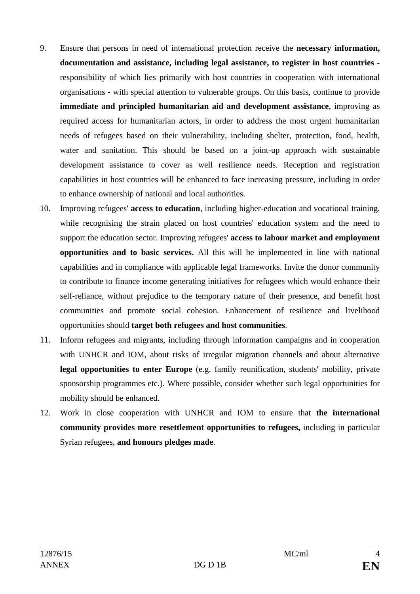- 9. Ensure that persons in need of international protection receive the **necessary information, documentation and assistance, including legal assistance, to register in host countries**  responsibility of which lies primarily with host countries in cooperation with international organisations **-** with special attention to vulnerable groups. On this basis, continue to provide **immediate and principled humanitarian aid and development assistance**, improving as required access for humanitarian actors, in order to address the most urgent humanitarian needs of refugees based on their vulnerability, including shelter, protection, food, health, water and sanitation. This should be based on a joint-up approach with sustainable development assistance to cover as well resilience needs. Reception and registration capabilities in host countries will be enhanced to face increasing pressure, including in order to enhance ownership of national and local authorities.
- 10. Improving refugees' **access to education**, including higher-education and vocational training, while recognising the strain placed on host countries' education system and the need to support the education sector. Improving refugees' **access to labour market and employment opportunities and to basic services.** All this will be implemented in line with national capabilities and in compliance with applicable legal frameworks. Invite the donor community to contribute to finance income generating initiatives for refugees which would enhance their self-reliance, without prejudice to the temporary nature of their presence, and benefit host communities and promote social cohesion. Enhancement of resilience and livelihood opportunities should **target both refugees and host communities**.
- 11. Inform refugees and migrants, including through information campaigns and in cooperation with UNHCR and IOM, about risks of irregular migration channels and about alternative legal opportunities to enter Europe (e.g. family reunification, students' mobility, private sponsorship programmes etc.). Where possible, consider whether such legal opportunities for mobility should be enhanced.
- 12. Work in close cooperation with UNHCR and IOM to ensure that **the international community provides more resettlement opportunities to refugees,** including in particular Syrian refugees, **and honours pledges made**.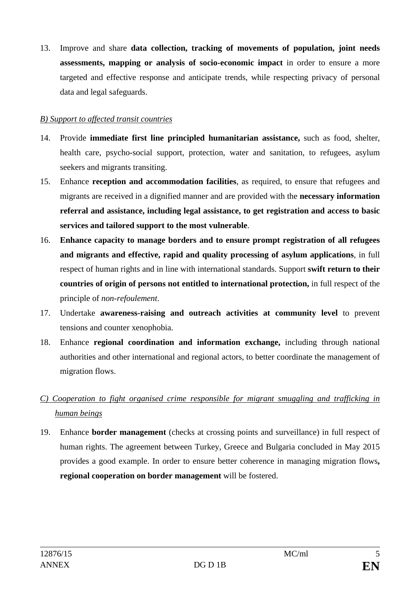13. Improve and share **data collection, tracking of movements of population, joint needs assessments, mapping or analysis of socio-economic impact** in order to ensure a more targeted and effective response and anticipate trends, while respecting privacy of personal data and legal safeguards.

## *B) Support to affected transit countries*

- 14. Provide **immediate first line principled humanitarian assistance,** such as food, shelter, health care, psycho-social support, protection, water and sanitation, to refugees, asylum seekers and migrants transiting.
- 15. Enhance **reception and accommodation facilities**, as required, to ensure that refugees and migrants are received in a dignified manner and are provided with the **necessary information referral and assistance, including legal assistance, to get registration and access to basic services and tailored support to the most vulnerable**.
- 16. **Enhance capacity to manage borders and to ensure prompt registration of all refugees and migrants and effective, rapid and quality processing of asylum applications**, in full respect of human rights and in line with international standards. Support **swift return to their countries of origin of persons not entitled to international protection,** in full respect of the principle of *non-refoulement*.
- 17. Undertake **awareness-raising and outreach activities at community level** to prevent tensions and counter xenophobia.
- 18. Enhance **regional coordination and information exchange,** including through national authorities and other international and regional actors, to better coordinate the management of migration flows.
- *C) Cooperation to fight organised crime responsible for migrant smuggling and trafficking in human beings*
- 19. Enhance **border management** (checks at crossing points and surveillance) in full respect of human rights. The agreement between Turkey, Greece and Bulgaria concluded in May 2015 provides a good example. In order to ensure better coherence in managing migration flows**, regional cooperation on border management** will be fostered.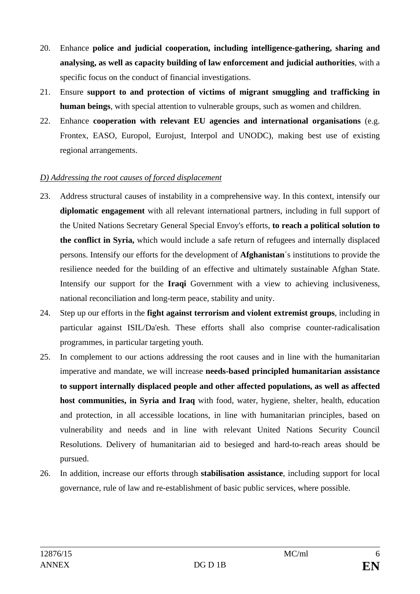- 20. Enhance **police and judicial cooperation, including intelligence-gathering, sharing and analysing, as well as capacity building of law enforcement and judicial authorities**, with a specific focus on the conduct of financial investigations.
- 21. Ensure **support to and protection of victims of migrant smuggling and trafficking in human beings**, with special attention to vulnerable groups, such as women and children.
- 22. Enhance **cooperation with relevant EU agencies and international organisations** (e.g. Frontex, EASO, Europol, Eurojust, Interpol and UNODC), making best use of existing regional arrangements.

## *D) Addressing the root causes of forced displacement*

- 23. Address structural causes of instability in a comprehensive way. In this context, intensify our **diplomatic engagement** with all relevant international partners, including in full support of the United Nations Secretary General Special Envoy's efforts, **to reach a political solution to the conflict in Syria,** which would include a safe return of refugees and internally displaced persons. Intensify our efforts for the development of **Afghanistan**´s institutions to provide the resilience needed for the building of an effective and ultimately sustainable Afghan State. Intensify our support for the **Iraqi** Government with a view to achieving inclusiveness, national reconciliation and long-term peace, stability and unity.
- 24. Step up our efforts in the **fight against terrorism and violent extremist groups**, including in particular against ISIL/Da'esh. These efforts shall also comprise counter-radicalisation programmes, in particular targeting youth.
- 25. In complement to our actions addressing the root causes and in line with the humanitarian imperative and mandate, we will increase **needs-based principled humanitarian assistance to support internally displaced people and other affected populations, as well as affected host communities, in Syria and Iraq** with food, water, hygiene, shelter, health, education and protection, in all accessible locations, in line with humanitarian principles, based on vulnerability and needs and in line with relevant United Nations Security Council Resolutions. Delivery of humanitarian aid to besieged and hard-to-reach areas should be pursued.
- 26. In addition, increase our efforts through **stabilisation assistance**, including support for local governance, rule of law and re-establishment of basic public services, where possible.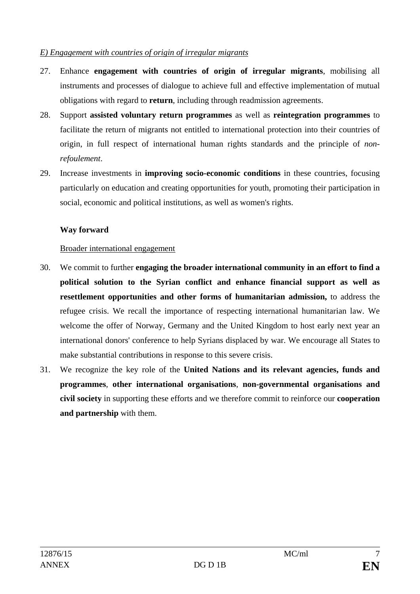#### *E) Engagement with countries of origin of irregular migrants*

- 27. Enhance **engagement with countries of origin of irregular migrants**, mobilising all instruments and processes of dialogue to achieve full and effective implementation of mutual obligations with regard to **return**, including through readmission agreements.
- 28. Support **assisted voluntary return programmes** as well as **reintegration programmes** to facilitate the return of migrants not entitled to international protection into their countries of origin, in full respect of international human rights standards and the principle of *nonrefoulement*.
- 29. Increase investments in **improving socio-economic conditions** in these countries, focusing particularly on education and creating opportunities for youth, promoting their participation in social, economic and political institutions, as well as women's rights.

## **Way forward**

## Broader international engagement

- 30. We commit to further **engaging the broader international community in an effort to find a political solution to the Syrian conflict and enhance financial support as well as resettlement opportunities and other forms of humanitarian admission,** to address the refugee crisis. We recall the importance of respecting international humanitarian law. We welcome the offer of Norway, Germany and the United Kingdom to host early next year an international donors' conference to help Syrians displaced by war. We encourage all States to make substantial contributions in response to this severe crisis.
- 31. We recognize the key role of the **United Nations and its relevant agencies, funds and programmes**, **other international organisations**, **non-governmental organisations and civil society** in supporting these efforts and we therefore commit to reinforce our **cooperation and partnership** with them.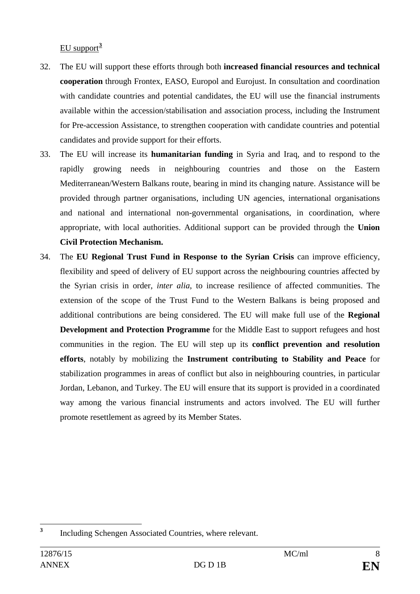EU support**[3](#page-7-0)**

- 32. The EU will support these efforts through both **increased financial resources and technical cooperation** through Frontex, EASO, Europol and Eurojust. In consultation and coordination with candidate countries and potential candidates, the EU will use the financial instruments available within the accession/stabilisation and association process, including the Instrument for Pre-accession Assistance, to strengthen cooperation with candidate countries and potential candidates and provide support for their efforts.
- 33. The EU will increase its **humanitarian funding** in Syria and Iraq, and to respond to the rapidly growing needs in neighbouring countries and those on the Eastern Mediterranean/Western Balkans route, bearing in mind its changing nature. Assistance will be provided through partner organisations, including UN agencies, international organisations and national and international non-governmental organisations, in coordination, where appropriate, with local authorities. Additional support can be provided through the **Union Civil Protection Mechanism.**
- 34. The **EU Regional Trust Fund in Response to the Syrian Crisis** can improve efficiency, flexibility and speed of delivery of EU support across the neighbouring countries affected by the Syrian crisis in order, *inter alia*, to increase resilience of affected communities. The extension of the scope of the Trust Fund to the Western Balkans is being proposed and additional contributions are being considered. The EU will make full use of the **Regional Development and Protection Programme** for the Middle East to support refugees and host communities in the region. The EU will step up its **conflict prevention and resolution efforts**, notably by mobilizing the **Instrument contributing to Stability and Peace** for stabilization programmes in areas of conflict but also in neighbouring countries, in particular Jordan, Lebanon, and Turkey. The EU will ensure that its support is provided in a coordinated way among the various financial instruments and actors involved. The EU will further promote resettlement as agreed by its Member States.

<span id="page-7-0"></span>**<sup>3</sup>** Including Schengen Associated Countries, where relevant.